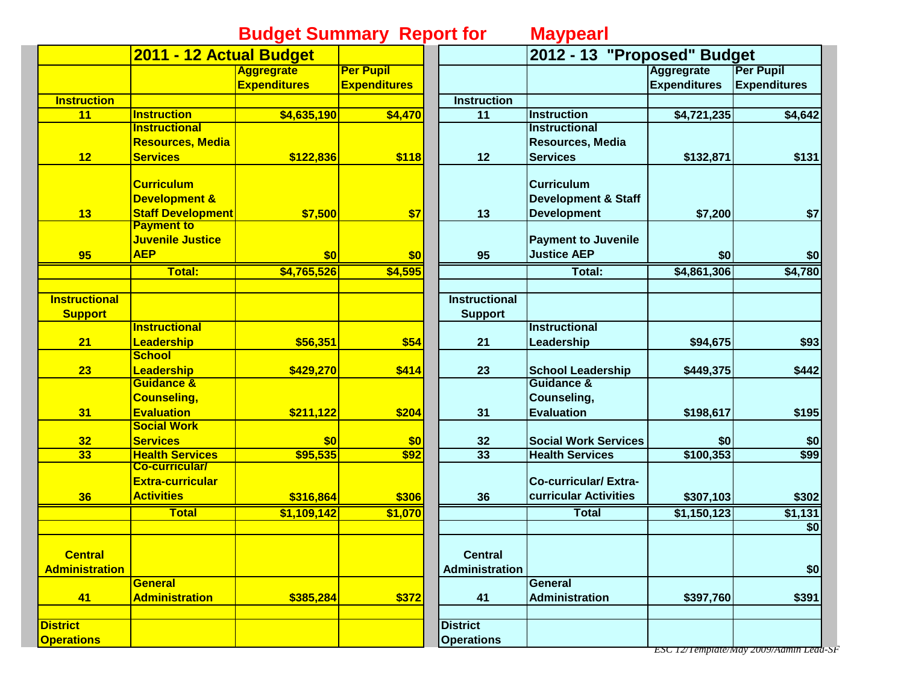## **Budget Summary Report for Maypearl**

|                       | 2011 - 12 Actual Budget  |                     |                     |                      | 2012 - 13 "Proposed" Budget    |                     |                     |
|-----------------------|--------------------------|---------------------|---------------------|----------------------|--------------------------------|---------------------|---------------------|
|                       |                          | <b>Aggregrate</b>   | <b>Per Pupil</b>    |                      |                                | <b>Aggregrate</b>   | <b>Per Pupil</b>    |
|                       |                          | <b>Expenditures</b> | <b>Expenditures</b> |                      |                                | <b>Expenditures</b> | <b>Expenditures</b> |
| <b>Instruction</b>    |                          |                     |                     | <b>Instruction</b>   |                                |                     |                     |
| 11                    | <b>Instruction</b>       | \$4,635,190         | \$4,470             | 11                   | <b>Instruction</b>             | \$4,721,235         | \$4,642             |
|                       | <b>Instructional</b>     |                     |                     |                      | <b>Instructional</b>           |                     |                     |
|                       | <b>Resources, Media</b>  |                     |                     |                      | <b>Resources, Media</b>        |                     |                     |
| 12                    | <b>Services</b>          | \$122,836           | \$118               | 12                   | <b>Services</b>                | \$132,871           | \$131               |
|                       | <b>Curriculum</b>        |                     |                     |                      | <b>Curriculum</b>              |                     |                     |
|                       | <b>Development &amp;</b> |                     |                     |                      | <b>Development &amp; Staff</b> |                     |                     |
| 13                    | <b>Staff Development</b> | \$7,500             | \$7                 | 13                   | <b>Development</b>             | \$7,200             | \$7                 |
|                       | <b>Payment to</b>        |                     |                     |                      |                                |                     |                     |
|                       | Juvenile Justice         |                     |                     |                      | <b>Payment to Juvenile</b>     |                     |                     |
| 95                    | <b>AEP</b>               | \$0                 | \$0                 | 95                   | <b>Justice AEP</b>             | \$0                 | \$0                 |
|                       | Total:                   | \$4,765,526         | \$4,595             |                      | Total:                         | \$4,861,306         | \$4,780             |
| <b>Instructional</b>  |                          |                     |                     | <b>Instructional</b> |                                |                     |                     |
| <b>Support</b>        |                          |                     |                     | <b>Support</b>       |                                |                     |                     |
|                       | <b>Instructional</b>     |                     |                     |                      | <b>Instructional</b>           |                     |                     |
| 21                    | Leadership               | \$56,351            | \$54                | 21                   | Leadership                     | \$94,675            | \$93                |
|                       | <b>School</b>            |                     |                     |                      |                                |                     |                     |
| 23                    | Leadership               | \$429,270           | \$414               | 23                   | <b>School Leadership</b>       | \$449,375           | \$442               |
|                       | Guidance &               |                     |                     |                      | <b>Guidance &amp;</b>          |                     |                     |
|                       | <b>Counseling,</b>       |                     |                     |                      | Counseling,                    |                     |                     |
| 31                    | <b>Evaluation</b>        | \$211,122           | \$204               | 31                   | <b>Evaluation</b>              | \$198,617           | \$195               |
|                       | <b>Social Work</b>       |                     |                     |                      |                                |                     |                     |
| 32                    | <b>Services</b>          | \$0                 | \$0                 | 32                   | <b>Social Work Services</b>    | \$0                 | \$0                 |
| 33                    | <b>Health Services</b>   | \$95,535            | \$92                | 33                   | <b>Health Services</b>         | \$100,353           | \$99                |
|                       | <b>Co-curricular/</b>    |                     |                     |                      |                                |                     |                     |
|                       | <b>Extra-curricular</b>  |                     |                     |                      | <b>Co-curricular/Extra-</b>    |                     |                     |
| 36                    | <b>Activities</b>        | \$316,864           | \$306               | 36                   | curricular Activities          | \$307,103           | \$302               |
|                       | <b>Total</b>             | \$1,109,142         | \$1,070             |                      | <b>Total</b>                   | \$1,150,123         | \$1,131             |
|                       |                          |                     |                     |                      |                                |                     | \$0                 |
| <b>Central</b>        |                          |                     |                     | <b>Central</b>       |                                |                     |                     |
| <b>Administration</b> |                          |                     |                     | Administration       |                                |                     | \$0                 |
|                       | <b>General</b>           |                     |                     |                      | <b>General</b>                 |                     |                     |
| 41                    | <b>Administration</b>    | \$385,284           | \$372               | 41                   | <b>Administration</b>          | \$397,760           | \$391               |
|                       |                          |                     |                     |                      |                                |                     |                     |
| <b>District</b>       |                          |                     |                     | <b>District</b>      |                                |                     |                     |
| <b>Operations</b>     |                          |                     |                     | <b>Operations</b>    |                                |                     |                     |

*ESC 12/Template/May 2009/Admin Lead-SF*